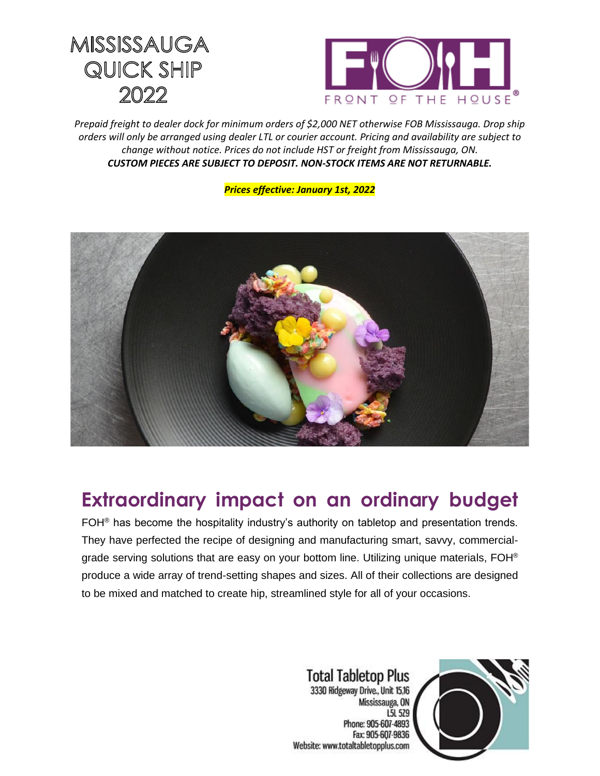## MISSISSAUGA QUICK SHIP 2022



*Prepaid freight to dealer dock for minimum orders of \$2,000 NET otherwise FOB Mississauga. Drop ship orders will only be arranged using dealer LTL or courier account. Pricing and availability are subject to change without notice. Prices do not include HST or freight from Mississauga, ON. CUSTOM PIECES ARE SUBJECT TO DEPOSIT. NON-STOCK ITEMS ARE NOT RETURNABLE.*

*Prices effective: January 1st, 2022*



## **Extraordinary impact on an ordinary budget**

FOH<sup>®</sup> has become the hospitality industry's authority on tabletop and presentation trends. They have perfected the recipe of designing and manufacturing smart, savvy, commercialgrade serving solutions that are easy on your bottom line. Utilizing unique materials, FOH® produce a wide array of trend-setting shapes and sizes. All of their collections are designed to be mixed and matched to create hip, streamlined style for all of your occasions.

> **Total Tabletop Plus** 3330 Ridgeway Drive., Unit 15,16 Mississauga, ON L5L 529 Phone: 905-607-4893 Fax: 905-607-9836 Website: www.totaltabletopplus.com

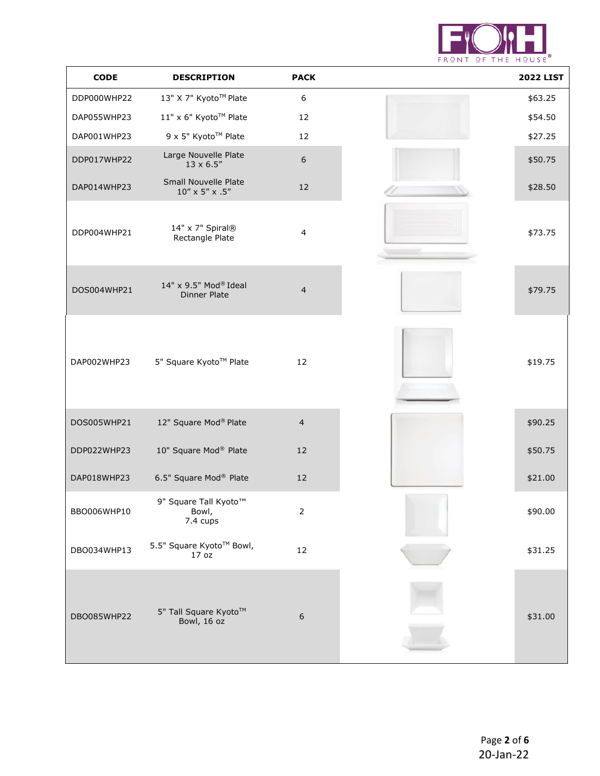

| <b>CODE</b> | <b>DESCRIPTION</b>                                    | <b>PACK</b>              | <b>2022 LIST</b> |
|-------------|-------------------------------------------------------|--------------------------|------------------|
| DDP000WHP22 | 13" X 7" Kyoto™ Plate                                 | $\boldsymbol{6}$         | \$63.25          |
| DAP055WHP23 | 11" x 6" Kyoto™ Plate                                 | 12                       | \$54.50          |
| DAP001WHP23 | 9 x 5" Kyoto™ Plate                                   | 12                       | \$27.25          |
| DDP017WHP22 | Large Nouvelle Plate<br>$13 \times 6.5''$             | $\sqrt{6}$               | \$50.75          |
| DAP014WHP23 | Small Nouvelle Plate<br>$10'' \times 5'' \times .5''$ | 12                       | \$28.50          |
| DDP004WHP21 | 14" x 7" Spiral®<br>Rectangle Plate                   | $\overline{\mathcal{L}}$ | \$73.75          |
| DOS004WHP21 | 14" x 9.5" Mod® Ideal<br><b>Dinner Plate</b>          | $\overline{4}$           | \$79.75          |
| DAP002WHP23 | 5" Square Kyoto™ Plate                                | 12                       | \$19.75          |
| DOS005WHP21 | 12" Square Mod® Plate                                 | $\overline{4}$           | \$90.25          |
| DDP022WHP23 | 10" Square Mod® Plate                                 | 12                       | \$50.75          |
| DAP018WHP23 | 6.5" Square Mod® Plate                                | 12                       | \$21.00          |
| BBO006WHP10 | 9" Square Tall Kyoto™<br>Bowl,<br>7.4 cups            | $\overline{2}$           | \$90.00          |
| DBO034WHP13 | 5.5" Square Kyoto™ Bowl,<br>17 <sub>oz</sub>          | 12                       | \$31.25          |
| DBO085WHP22 | 5" Tall Square Kyoto™<br>Bowl, 16 oz                  | $\boldsymbol{6}$         | \$31.00          |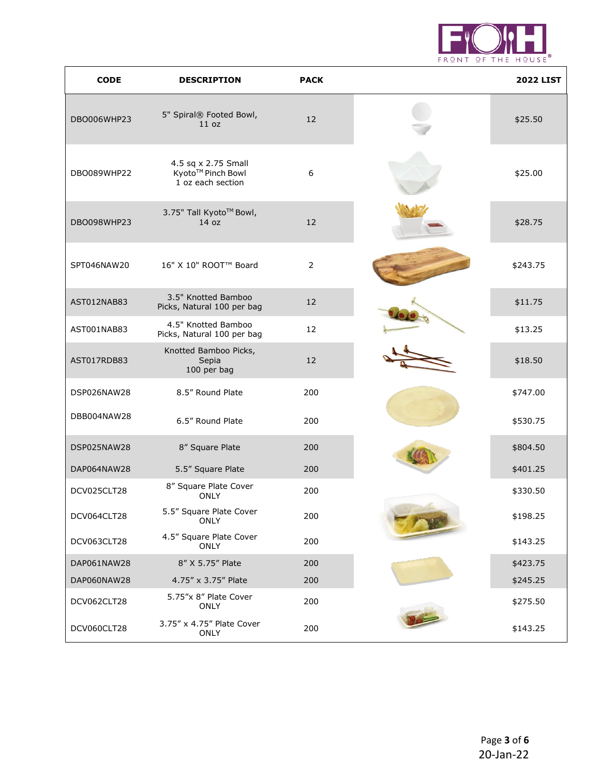

| <b>CODE</b> | <b>DESCRIPTION</b>                                            | <b>PACK</b>      | <b>2022 LIST</b> |
|-------------|---------------------------------------------------------------|------------------|------------------|
| DBO006WHP23 | 5" Spiral® Footed Bowl,<br>11 oz                              | 12               | \$25.50          |
| DBO089WHP22 | 4.5 sq x 2.75 Small<br>Kyoto™ Pinch Bowl<br>1 oz each section | $\boldsymbol{6}$ | \$25.00          |
| DBO098WHP23 | 3.75" Tall Kyoto™ Bowl,<br>14 oz                              | 12               | \$28.75          |
| SPT046NAW20 | 16" X 10" ROOT™ Board                                         | $\overline{2}$   | \$243.75         |
| AST012NAB83 | 3.5" Knotted Bamboo<br>Picks, Natural 100 per bag             | 12               | \$11.75          |
| AST001NAB83 | 4.5" Knotted Bamboo<br>Picks, Natural 100 per bag             | 12               | \$13.25          |
| AST017RDB83 | Knotted Bamboo Picks,<br>Sepia<br>100 per bag                 | 12               | \$18.50          |
| DSP026NAW28 | 8.5" Round Plate                                              | 200              | \$747.00         |
| DBB004NAW28 | 6.5" Round Plate                                              | 200              | \$530.75         |
| DSP025NAW28 | 8" Square Plate                                               | 200              | \$804.50         |
| DAP064NAW28 | 5.5" Square Plate                                             | 200              | \$401.25         |
| DCV025CLT28 | 8" Square Plate Cover<br><b>ONLY</b>                          | 200              | \$330.50         |
| DCV064CLT28 | 5.5" Square Plate Cover<br><b>ONLY</b>                        | 200              | \$198.25         |
| DCV063CLT28 | 4.5" Square Plate Cover<br><b>ONLY</b>                        | 200              | \$143.25         |
| DAP061NAW28 | 8" X 5.75" Plate                                              | 200              | \$423.75         |
| DAP060NAW28 | 4.75" x 3.75" Plate                                           | 200              | \$245.25         |
| DCV062CLT28 | 5.75"x 8" Plate Cover<br><b>ONLY</b>                          | 200              | \$275.50         |
| DCV060CLT28 | 3.75" x 4.75" Plate Cover<br><b>ONLY</b>                      | 200              | \$143.25         |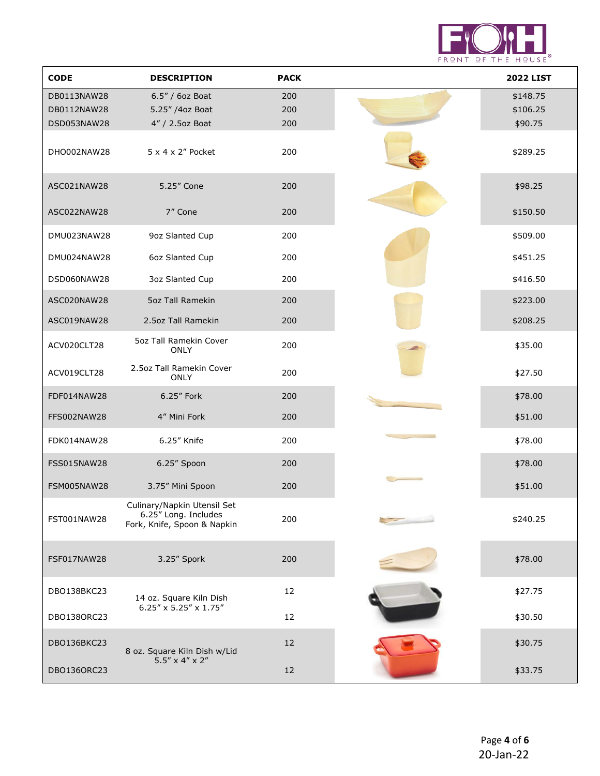

| <b>CODE</b>                               | <b>DESCRIPTION</b>                                                                 | <b>PACK</b>       | <b>2022 LIST</b>                |
|-------------------------------------------|------------------------------------------------------------------------------------|-------------------|---------------------------------|
| DB0113NAW28<br>DB0112NAW28<br>DSD053NAW28 | $6.5''/6$ oz Boat<br>5.25" /4oz Boat<br>4" / 2.5oz Boat                            | 200<br>200<br>200 | \$148.75<br>\$106.25<br>\$90.75 |
| DHO002NAW28                               | $5 \times 4 \times 2$ " Pocket                                                     | 200               | \$289.25                        |
| ASC021NAW28                               | 5.25" Cone                                                                         | 200               | \$98.25                         |
| ASC022NAW28                               | 7" Cone                                                                            | 200               | \$150.50                        |
| DMU023NAW28                               | 9oz Slanted Cup                                                                    | 200               | \$509.00                        |
| DMU024NAW28                               | 6oz Slanted Cup                                                                    | 200               | \$451.25                        |
| DSD060NAW28                               | 3oz Slanted Cup                                                                    | 200               | \$416.50                        |
| ASC020NAW28                               | 5oz Tall Ramekin                                                                   | 200               | \$223.00                        |
| ASC019NAW28                               | 2.5oz Tall Ramekin                                                                 | 200               | \$208.25                        |
| ACV020CLT28                               | 5oz Tall Ramekin Cover<br><b>ONLY</b>                                              | 200               | \$35.00                         |
| ACV019CLT28                               | 2.5oz Tall Ramekin Cover<br><b>ONLY</b>                                            | 200               | \$27.50                         |
| FDF014NAW28                               | 6.25" Fork                                                                         | 200               | \$78.00                         |
| FFS002NAW28                               | 4" Mini Fork                                                                       | 200               | \$51.00                         |
| FDK014NAW28                               | 6.25" Knife                                                                        | 200               | \$78.00                         |
| FSS015NAW28                               | 6.25" Spoon                                                                        | 200               | \$78.00                         |
| FSM005NAW28                               | 3.75" Mini Spoon                                                                   | 200               | \$51.00                         |
| FST001NAW28                               | Culinary/Napkin Utensil Set<br>6.25" Long. Includes<br>Fork, Knife, Spoon & Napkin | 200               | \$240.25                        |
| FSF017NAW28                               | 3.25" Spork                                                                        | 200               | \$78.00                         |
| DBO138BKC23                               | 14 oz. Square Kiln Dish                                                            | 12                | \$27.75                         |
| DB01380RC23                               | $6.25'' \times 5.25'' \times 1.75''$                                               | 12                | \$30.50                         |
| DBO136BKC23                               | 8 oz. Square Kiln Dish w/Lid                                                       | 12                | \$30.75                         |
| DB01360RC23                               | $5.5'' \times 4'' \times 2''$                                                      | 12                | \$33.75                         |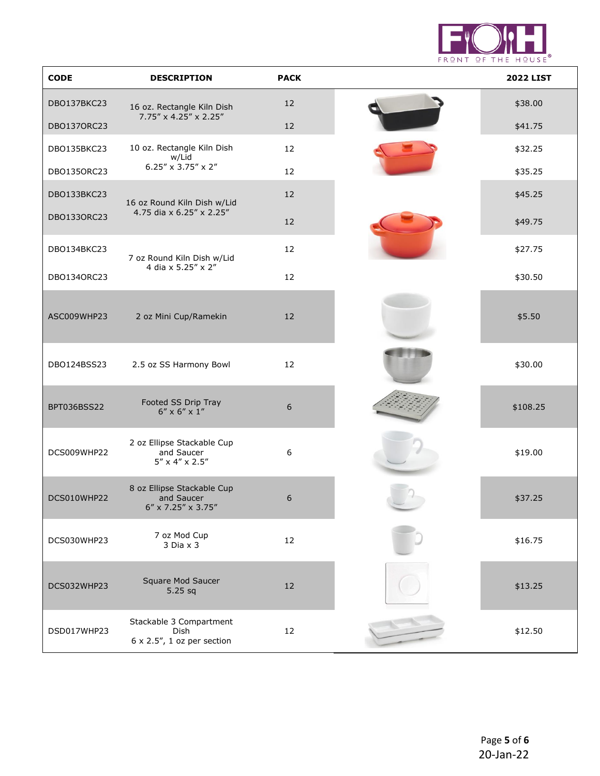

| <b>CODE</b> | <b>DESCRIPTION</b>                                                            | <b>PACK</b> | <b>2022 LIST</b> |
|-------------|-------------------------------------------------------------------------------|-------------|------------------|
| DBO137BKC23 | 16 oz. Rectangle Kiln Dish                                                    | 12          | \$38.00          |
| DB01370RC23 | $7.75'' \times 4.25'' \times 2.25''$                                          | 12          | \$41.75          |
| DBO135BKC23 | 10 oz. Rectangle Kiln Dish<br>w/Lid                                           | 12          | \$32.25          |
| DB01350RC23 | 6.25" x 3.75" x 2"                                                            | 12          | \$35.25          |
| DBO133BKC23 | 16 oz Round Kiln Dish w/Lid                                                   | 12          | \$45.25          |
| DB01330RC23 | 4.75 dia x 6.25" x 2.25"                                                      | 12          | \$49.75          |
| DBO134BKC23 | 7 oz Round Kiln Dish w/Lid                                                    | 12          | \$27.75          |
| DB01340RC23 | 4 dia x 5.25" x 2"                                                            | 12          | \$30.50          |
| ASC009WHP23 | 2 oz Mini Cup/Ramekin                                                         | 12          | \$5.50           |
| DBO124BSS23 | 2.5 oz SS Harmony Bowl                                                        | 12          | \$30.00          |
| BPT036BSS22 | Footed SS Drip Tray<br>$6'' \times 6'' \times 1''$                            | 6           | \$108.25         |
| DCS009WHP22 | 2 oz Ellipse Stackable Cup<br>and Saucer<br>$5'' \times 4'' \times 2.5''$     | 6           | \$19.00          |
| DCS010WHP22 | 8 oz Ellipse Stackable Cup<br>and Saucer<br>$6'' \times 7.25'' \times 3.75''$ | 6           | \$37.25          |
| DCS030WHP23 | 7 oz Mod Cup<br>$3$ Dia $\times$ $3$                                          | 12          | \$16.75          |
| DCS032WHP23 | Square Mod Saucer<br>5.25 sq                                                  | $12$        | \$13.25          |
| DSD017WHP23 | Stackable 3 Compartment<br>Dish<br>$6 \times 2.5$ ", 1 oz per section         | 12          | \$12.50          |